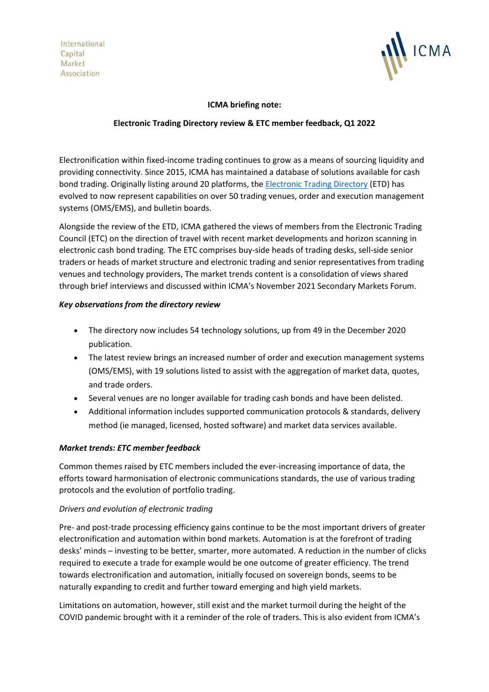International Capital Market Association



## **ICMA briefing note:**

## **Electronic Trading Directory review & ETC member feedback, Q1 2022**

Electronification within fixed-income trading continues to grow as a means of sourcing liquidity and providing connectivity. Since 2015, ICMA has maintained a database of solutions available for cash bond trading. Originally listing around 20 platforms, the [Electronic Trading Directory](https://www.icmagroup.org/Regulatory-Policy-and-Market-Practice/Secondary-Markets/electronic-trading/etp-mapping/) (ETD) has evolved to now represent capabilities on over 50 trading venues, order and execution management systems (OMS/EMS), and bulletin boards.

Alongside the review of the ETD, ICMA gathered the views of members from the Electronic Trading Council (ETC) on the direction of travel with recent market developments and horizon scanning in electronic cash bond trading. The ETC comprises buy-side heads of trading desks, sell-side senior traders or heads of market structure and electronic trading and senior representatives from trading venues and technology providers, The market trends content is a consolidation of views shared through brief interviews and discussed within ICMA's November 2021 Secondary Markets Forum.

## *Key observations from the directory review*

- The directory now includes 54 technology solutions, up from 49 in the December 2020 publication.
- The latest review brings an increased number of order and execution management systems (OMS/EMS), with 19 solutions listed to assist with the aggregation of market data, quotes, and trade orders.
- Several venues are no longer available for trading cash bonds and have been delisted.
- Additional information includes supported communication protocols & standards, delivery method (ie managed, licensed, hosted software) and market data services available.

# *Market trends: ETC member feedback*

Common themes raised by ETC members included the ever-increasing importance of data, the efforts toward harmonisation of electronic communications standards, the use of various trading protocols and the evolution of portfolio trading.

#### *Drivers and evolution of electronic trading*

Pre- and post-trade processing efficiency gains continue to be the most important drivers of greater electronification and automation within bond markets. Automation is at the forefront of trading desks' minds – investing to be better, smarter, more automated. A reduction in the number of clicks required to execute a trade for example would be one outcome of greater efficiency. The trend towards electronification and automation, initially focused on sovereign bonds, seems to be naturally expanding to credit and further toward emerging and high yield markets.

Limitations on automation, however, still exist and the market turmoil during the height of the COVID pandemic brought with it a reminder of the role of traders. This is also evident from ICMA's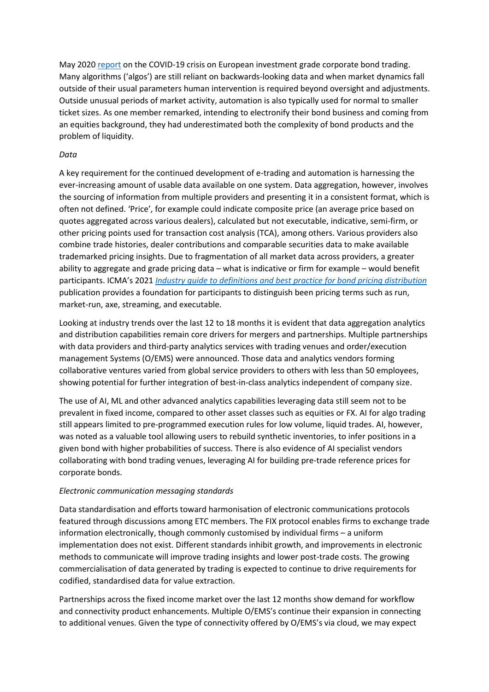May 2020 [report](https://www.icmagroup.org/assets/documents/Regulatory/Secondary-markets/The-European-investment-grade-corporate-bond-secondary-market-and-the-COVID-19-crisis-280520v2.pdf) on the COVID-19 crisis on European investment grade corporate bond trading. Many algorithms ('algos') are still reliant on backwards-looking data and when market dynamics fall outside of their usual parameters human intervention is required beyond oversight and adjustments. Outside unusual periods of market activity, automation is also typically used for normal to smaller ticket sizes. As one member remarked, intending to electronify their bond business and coming from an equities background, they had underestimated both the complexity of bond products and the problem of liquidity.

## *Data*

A key requirement for the continued development of e-trading and automation is harnessing the ever-increasing amount of usable data available on one system. Data aggregation, however, involves the sourcing of information from multiple providers and presenting it in a consistent format, which is often not defined. 'Price', for example could indicate composite price (an average price based on quotes aggregated across various dealers), calculated but not executable, indicative, semi-firm, or other pricing points used for transaction cost analysis (TCA), among others. Various providers also combine trade histories, dealer contributions and comparable securities data to make available trademarked pricing insights. Due to fragmentation of all market data across providers, a greater ability to aggregate and grade pricing data – what is indicative or firm for example – would benefit participants. ICMA's 2021 *[Industry guide to definitions and best practice for bond pricing distribution](https://www.icmagroup.org/assets/documents/Regulatory/Secondary-markets/ICMA-Industry-guide-to-definitions-and-best-practice-for-bond-pricing-distribution-May-2021-170521.pdf)* publication provides a foundation for participants to distinguish been pricing terms such as run, market-run, axe, streaming, and executable.

Looking at industry trends over the last 12 to 18 months it is evident that data aggregation analytics and distribution capabilities remain core drivers for mergers and partnerships. Multiple partnerships with data providers and third-party analytics services with trading venues and order/execution management Systems (O/EMS) were announced. Those data and analytics vendors forming collaborative ventures varied from global service providers to others with less than 50 employees, showing potential for further integration of best-in-class analytics independent of company size.

The use of AI, ML and other advanced analytics capabilities leveraging data still seem not to be prevalent in fixed income, compared to other asset classes such as equities or FX. AI for algo trading still appears limited to pre-programmed execution rules for low volume, liquid trades. AI, however, was noted as a valuable tool allowing users to rebuild synthetic inventories, to infer positions in a given bond with higher probabilities of success. There is also evidence of AI specialist vendors collaborating with bond trading venues, leveraging AI for building pre-trade reference prices for corporate bonds.

#### *Electronic communication messaging standards*

Data standardisation and efforts toward harmonisation of electronic communications protocols featured through discussions among ETC members. The FIX protocol enables firms to exchange trade information electronically, though commonly customised by individual firms – a uniform implementation does not exist. Different standards inhibit growth, and improvements in electronic methods to communicate will improve trading insights and lower post-trade costs. The growing commercialisation of data generated by trading is expected to continue to drive requirements for codified, standardised data for value extraction.

Partnerships across the fixed income market over the last 12 months show demand for workflow and connectivity product enhancements. Multiple O/EMS's continue their expansion in connecting to additional venues. Given the type of connectivity offered by O/EMS's via cloud, we may expect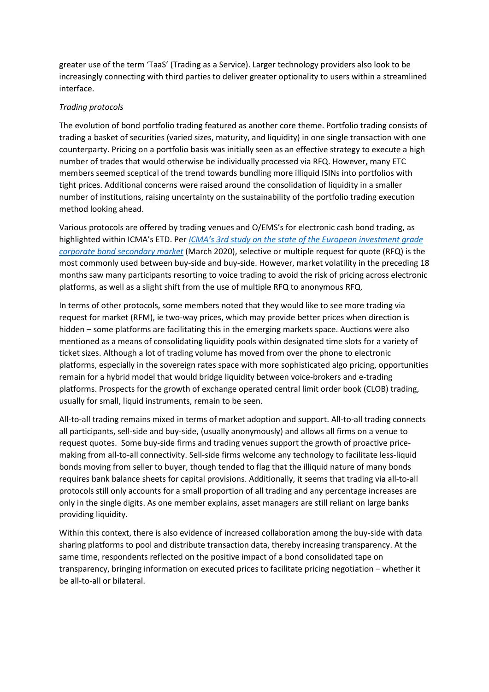greater use of the term 'TaaS' (Trading as a Service). Larger technology providers also look to be increasingly connecting with third parties to deliver greater optionality to users within a streamlined interface.

### *Trading protocols*

The evolution of bond portfolio trading featured as another core theme. Portfolio trading consists of trading a basket of securities (varied sizes, maturity, and liquidity) in one single transaction with one counterparty. Pricing on a portfolio basis was initially seen as an effective strategy to execute a high number of trades that would otherwise be individually processed via RFQ. However, many ETC members seemed sceptical of the trend towards bundling more illiquid ISINs into portfolios with tight prices. Additional concerns were raised around the consolidation of liquidity in a smaller number of institutions, raising uncertainty on the sustainability of the portfolio trading execution method looking ahead.

Various protocols are offered by trading venues and O/EMS's for electronic cash bond trading, as highlighted within ICMA's ETD. Per *[ICMA's 3rd study on the state of the European investment grade](https://www.icmagroup.org/assets/documents/Regulatory/Secondary-markets/Time-to-act-ICMAs-3rd-study-into-the-state-and-evolution-of-the-European-investment-grade-corporate-bond-secondary-market-040320.pdf)  [corporate bond secondary market](https://www.icmagroup.org/assets/documents/Regulatory/Secondary-markets/Time-to-act-ICMAs-3rd-study-into-the-state-and-evolution-of-the-European-investment-grade-corporate-bond-secondary-market-040320.pdf)* (March 2020), selective or multiple request for quote (RFQ) is the most commonly used between buy-side and buy-side. However, market volatility in the preceding 18 months saw many participants resorting to voice trading to avoid the risk of pricing across electronic platforms, as well as a slight shift from the use of multiple RFQ to anonymous RFQ.

In terms of other protocols, some members noted that they would like to see more trading via request for market (RFM), ie two-way prices, which may provide better prices when direction is hidden – some platforms are facilitating this in the emerging markets space. Auctions were also mentioned as a means of consolidating liquidity pools within designated time slots for a variety of ticket sizes. Although a lot of trading volume has moved from over the phone to electronic platforms, especially in the sovereign rates space with more sophisticated algo pricing, opportunities remain for a hybrid model that would bridge liquidity between voice-brokers and e-trading platforms. Prospects for the growth of exchange operated central limit order book (CLOB) trading, usually for small, liquid instruments, remain to be seen.

All-to-all trading remains mixed in terms of market adoption and support. All-to-all trading connects all participants, sell-side and buy-side, (usually anonymously) and allows all firms on a venue to request quotes. Some buy-side firms and trading venues support the growth of proactive pricemaking from all-to-all connectivity. Sell-side firms welcome any technology to facilitate less-liquid bonds moving from seller to buyer, though tended to flag that the illiquid nature of many bonds requires bank balance sheets for capital provisions. Additionally, it seems that trading via all-to-all protocols still only accounts for a small proportion of all trading and any percentage increases are only in the single digits. As one member explains, asset managers are still reliant on large banks providing liquidity.

Within this context, there is also evidence of increased collaboration among the buy-side with data sharing platforms to pool and distribute transaction data, thereby increasing transparency. At the same time, respondents reflected on the positive impact of a bond consolidated tape on transparency, bringing information on executed prices to facilitate pricing negotiation – whether it be all-to-all or bilateral.